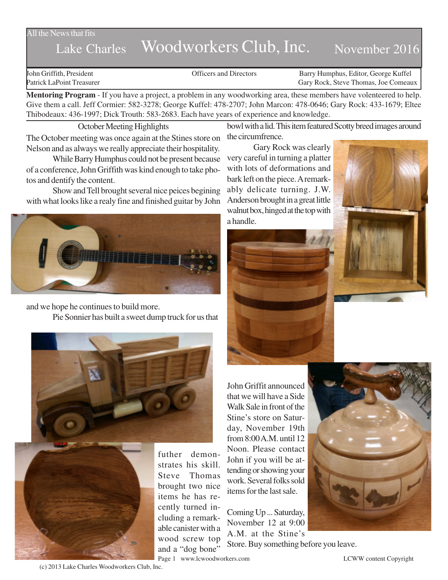### All the News that fits

# Lake Charles Woodworkers Club, Inc. November 2016

John Griffith, President Officers and Directors Barry Humphus, Editor, George Kuffel Patrick LaPoint Treasurer Gary Rock, Steve Thomas, Joe Comeaux

**Mentoring Program** - If you have a project, a problem in any woodworking area, these members have volenteered to help. Give them a call. Jeff Cormier: 582-3278; George Kuffel: 478-2707; John Marcon: 478-0646; Gary Rock: 433-1679; Eltee Thibodeaux: 436-1997; Dick Trouth: 583-2683. Each have years of experience and knowledge.

October Meeting Highlights The October meeting was once again at the Stines store on Nelson and as always we really appreciate their hospitality.

While Barry Humphus could not be present because of a conference, John Griffith was kind enough to take photos and dentify the content.

Show and Tell brought several nice peices begining with what looks like a realy fine and finished guitar by John



and we hope he continues to build more. Pie Sonnier has built a sweet dump truck for us that





futher demonstrates his skill. Steve Thomas brought two nice items he has recently turned including a remarkable canister with a wood screw top and a "dog bone"

bowl with a lid. This item featured Scotty breed images around the circumfrence.

Gary Rock was clearly very careful in turning a platter with lots of deformations and bark left on the piece. A remarkably delicate turning. J.W. Anderson brought in a great little walnut box, hinged at the top with a handle.



John Griffit announced that we will have a Side Walk Sale in front of the Stine's store on Saturday, November 19th from 8:00 A.M. until 12 Noon. Please contact John if you will be attending or showing your work. Several folks sold items for the last sale.

Coming Up ... Saturday, November 12 at 9:00 A.M. at the Stine's Store. Buy something before you leave.

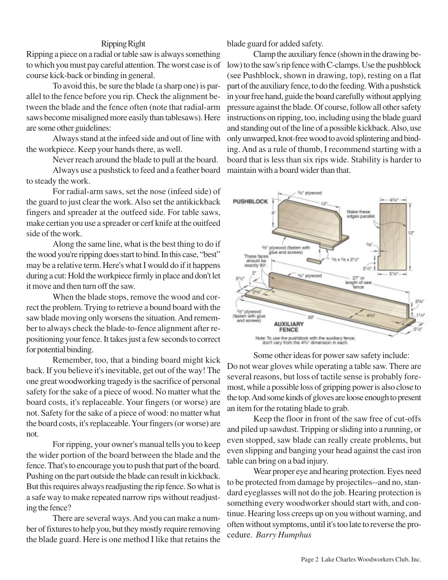# Ripping Right

Ripping a piece on a radial or table saw is always something to which you must pay careful attention. The worst case is of course kick-back or binding in general.

To avoid this, be sure the blade (a sharp one) is parallel to the fence before you rip. Check the alignment between the blade and the fence often (note that radial-arm saws become misaligned more easily than tablesaws). Here are some other guidelines:

Always stand at the infeed side and out of line with the workpiece. Keep your hands there, as well.

Never reach around the blade to pull at the board.

Always use a pushstick to feed and a feather board to steady the work.

For radial-arm saws, set the nose (infeed side) of the guard to just clear the work. Also set the antikickback fingers and spreader at the outfeed side. For table saws, make certian you use a spreader or cerf knife at the ouitfeed side of the work.

Along the same line, what is the best thing to do if the wood you're ripping does start to bind. In this case, "best" may be a relative term. Here's what I would do if it happens during a cut: Hold the workpiece firmly in place and don't let it move and then turn off the saw.

When the blade stops, remove the wood and correct the problem. Trying to retrieve a bound board with the saw blade moving only worsens the situation. And remember to always check the blade-to-fence alignment after repositioning your fence. It takes just a few seconds to correct for potential binding.

Remember, too, that a binding board might kick back. If you believe it's inevitable, get out of the way! The one great woodworking tragedy is the sacrifice of personal safety for the sake of a piece of wood. No matter what the board costs, it's replaceable. Your fingers (or worse) are not. Safety for the sake of a piece of wood: no matter what the board costs, it's replaceable. Your fingers (or worse) are not.

For ripping, your owner's manual tells you to keep the wider portion of the board between the blade and the fence. That's to encourage you to push that part of the board. Pushing on the part outside the blade can result in kickback. But this requires always readjusting the rip fence. So what is a safe way to make repeated narrow rips without readjusting the fence?

There are several ways. And you can make a number of fixtures to help you, but they mostly require removing the blade guard. Here is one method I like that retains the blade guard for added safety.

Clamp the auxiliary fence (shown in the drawing below) to the saw's rip fence with C-clamps. Use the pushblock (see Pushblock, shown in drawing, top), resting on a flat part of the auxiliary fence, to do the feeding. With a pushstick in your free hand, guide the board carefully without applying pressure against the blade. Of course, follow all other safety instructions on ripping, too, including using the blade guard and standing out of the line of a possible kickback. Also, use only unwarped, knot-free wood to avoid splintering and binding. And as a rule of thumb, I recommend starting with a board that is less than six rips wide. Stability is harder to maintain with a board wider than that.



Some other ideas for power saw safety include: Do not wear gloves while operating a table saw. There are several reasons, but loss of tactile sense is probably foremost, while a possible loss of gripping power is also close to the top. And some kinds of gloves are loose enough to present an item for the rotating blade to grab.

Keep the floor in front of the saw free of cut-offs and piled up sawdust. Tripping or sliding into a running, or even stopped, saw blade can really create problems, but even slipping and banging your head against the cast iron table can bring on a bad injury.

Wear proper eye and hearing protection. Eyes need to be protected from damage by projectiles--and no, standard eyeglasses will not do the job. Hearing protection is something every woodworker should start with, and continue. Hearing loss creeps up on you without warning, and often without symptoms, until it's too late to reverse the procedure. *Barry Humphus*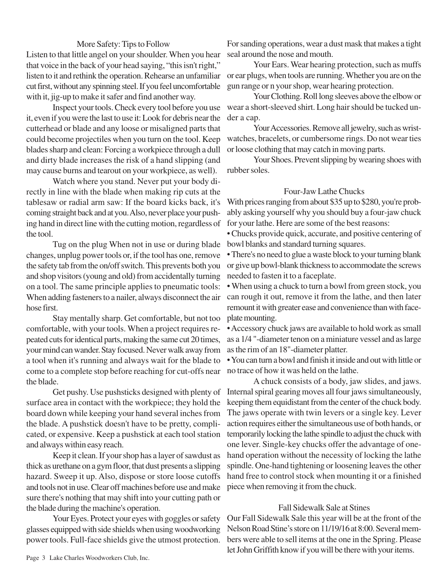## More Safety: Tips to Follow

Listen to that little angel on your shoulder. When you hear that voice in the back of your head saying, "this isn't right," listen to it and rethink the operation. Rehearse an unfamiliar cut first, without any spinning steel. If you feel uncomfortable with it, jig-up to make it safer and find another way.

Inspect your tools. Check every tool before you use it, even if you were the last to use it: Look for debris near the cutterhead or blade and any loose or misaligned parts that could become projectiles when you turn on the tool. Keep blades sharp and clean: Forcing a workpiece through a dull and dirty blade increases the risk of a hand slipping (and may cause burns and tearout on your workpiece, as well).

Watch where you stand. Never put your body directly in line with the blade when making rip cuts at the tablesaw or radial arm saw: If the board kicks back, it's coming straight back and at you. Also, never place your pushing hand in direct line with the cutting motion, regardless of the tool.

Tug on the plug When not in use or during blade bowl blanks and standard turning squares. changes, unplug power tools or, if the tool has one, remove the safety tab from the on/off switch. This prevents both you and shop visitors (young and old) from accidentally turning on a tool. The same principle applies to pneumatic tools: When adding fasteners to a nailer, always disconnect the air hose first.

Stay mentally sharp. Get comfortable, but not too comfortable, with your tools. When a project requires repeated cuts for identical parts, making the same cut 20 times, your mind can wander. Stay focused. Never walk away from a tool when it's running and always wait for the blade to come to a complete stop before reaching for cut-offs near the blade.

Get pushy. Use pushsticks designed with plenty of surface area in contact with the workpiece; they hold the board down while keeping your hand several inches from the blade. A pushstick doesn't have to be pretty, complicated, or expensive. Keep a pushstick at each tool station and always within easy reach.

Keep it clean. If your shop has a layer of sawdust as thick as urethane on a gym floor, that dust presents a slipping hazard. Sweep it up. Also, dispose or store loose cutoffs and tools not in use. Clear off machines before use and make sure there's nothing that may shift into your cutting path or the blade during the machine's operation.

Your Eyes. Protect your eyes with goggles or safety glasses equipped with side shields when using woodworking power tools. Full-face shields give the utmost protection.

For sanding operations, wear a dust mask that makes a tight seal around the nose and mouth.

Your Ears. Wear hearing protection, such as muffs or ear plugs, when tools are running. Whether you are on the gun range or n your shop, wear hearing protection.

Your Clothing. Roll long sleeves above the elbow or wear a short-sleeved shirt. Long hair should be tucked under a cap.

Your Accessories. Remove all jewelry, such as wristwatches, bracelets, or cumbersome rings. Do not wear ties or loose clothing that may catch in moving parts.

Your Shoes. Prevent slipping by wearing shoes with rubber soles.

#### Four-Jaw Lathe Chucks

With prices ranging from about \$35 up to \$280, you're probably asking yourself why you should buy a four-jaw chuck for your lathe. Here are some of the best reasons:

• Chucks provide quick, accurate, and positive centering of

• There's no need to glue a waste block to your turning blank or give up bowl-blank thickness to accommodate the screws needed to fasten it to a faceplate.

• When using a chuck to turn a bowl from green stock, you can rough it out, remove it from the lathe, and then later remount it with greater ease and convenience than with faceplate mounting.

• Accessory chuck jaws are available to hold work as small as a 1/4 "-diameter tenon on a miniature vessel and as large as the rim of an 18"-diameter platter.

• You can turn a bowl and finish it inside and out with little or no trace of how it was held on the lathe.

A chuck consists of a body, jaw slides, and jaws. Internal spiral gearing moves all four jaws simultaneously, keeping them equidistant from the center of the chuck body. The jaws operate with twin levers or a single key. Lever action requires either the simultaneous use of both hands, or temporarily locking the lathe spindle to adjust the chuck with one lever. Single-key chucks offer the advantage of onehand operation without the necessity of locking the lathe spindle. One-hand tightening or loosening leaves the other hand free to control stock when mounting it or a finished piece when removing it from the chuck.

#### Fall Sidewalk Sale at Stines

Our Fall Sidewalk Sale this year will be at the front of the Nelson Road Stine's store on 11/19/16 at 8:00. Several members were able to sell items at the one in the Spring. Please let John Griffith know if you will be there with your items.